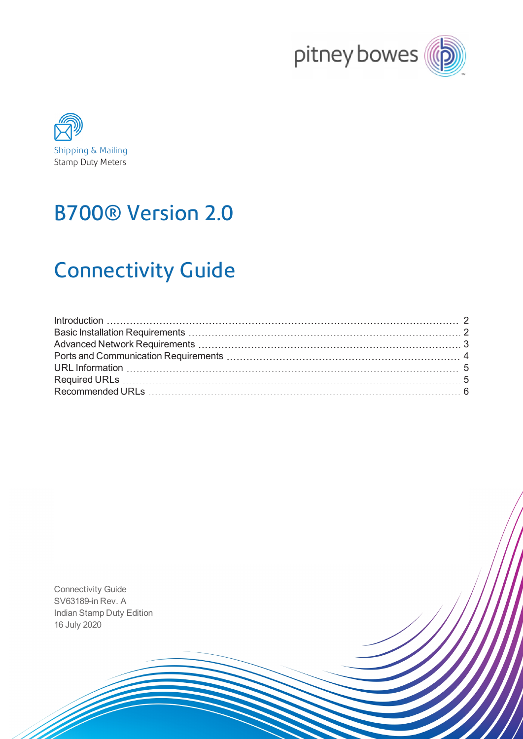



# B700® Version 2.0

# Connectivity Guide

Connectivity Guide SV63189-in Rev. A Indian Stamp Duty Edition 16 July 2020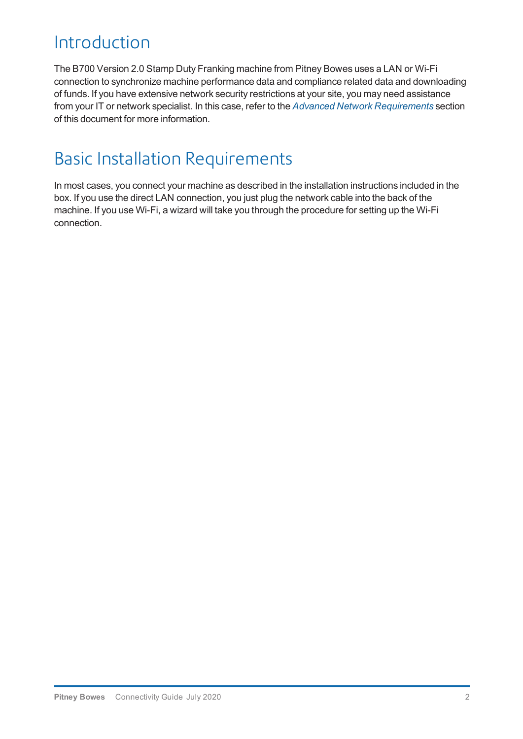### <span id="page-1-0"></span>Introduction

The B700 Version 2.0 Stamp Duty Franking machine from Pitney Bowes uses a LAN or Wi-Fi connection to synchronize machine performance data and compliance related data and downloading of funds. If you have extensive network security restrictions at your site, you may need assistance from your IT or network specialist. In this case, refer to the *[Advanced Network Requirements](#page-2-0)* section of this document for more information.

## <span id="page-1-1"></span>Basic Installation Requirements

In most cases, you connect your machine as described in the installation instructions included in the box. If you use the direct LAN connection, you just plug the network cable into the back of the machine. If you use Wi-Fi, a wizard will take you through the procedure for setting up the Wi-Fi connection.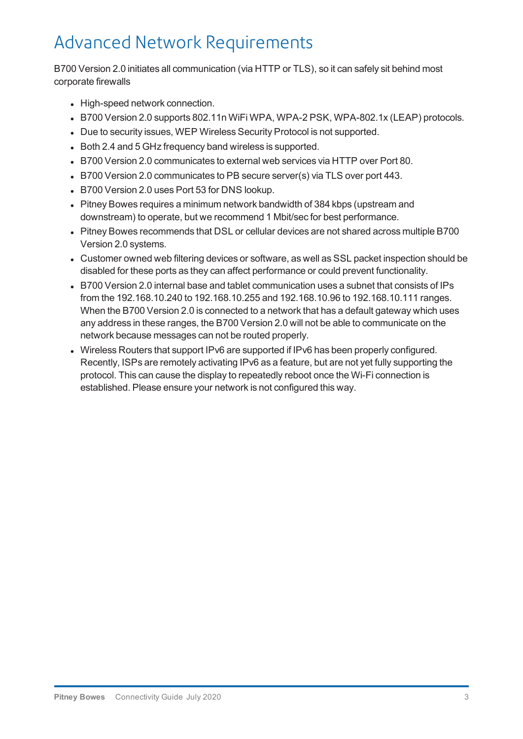## <span id="page-2-0"></span>Advanced Network Requirements

B700 Version 2.0 initiates all communication (via HTTP or TLS), so it can safely sit behind most corporate firewalls

- High-speed network connection.
- B700 Version 2.0 supports 802.11n WiFi WPA, WPA-2 PSK, WPA-802.1x (LEAP) protocols.
- Due to security issues, WEP Wireless Security Protocol is not supported.
- Both 2.4 and 5 GHz frequency band wireless is supported.
- B700 Version 2.0 communicates to external web services via HTTP over Port 80.
- B700 Version 2.0 communicates to PB secure server(s) via TLS over port 443.
- B700 Version 2.0 uses Port 53 for DNS lookup.
- Pitney Bowes requires a minimum network bandwidth of 384 kbps (upstream and downstream) to operate, but we recommend 1 Mbit/sec for best performance.
- Pitney Bowes recommends that DSL or cellular devices are not shared across multiple B700 Version 2.0 systems.
- Customer owned web filtering devices or software, as well as SSL packet inspection should be disabled for these ports as they can affect performance or could prevent functionality.
- B700 Version 2.0 internal base and tablet communication uses a subnet that consists of IPs from the 192.168.10.240 to 192.168.10.255 and 192.168.10.96 to 192.168.10.111 ranges. When the B700 Version 2.0 is connected to a network that has a default gateway which uses any address in these ranges, the B700 Version 2.0 will not be able to communicate on the network because messages can not be routed properly.
- Wireless Routers that support IPv6 are supported if IPv6 has been properly configured. Recently, ISPs are remotely activating IPv6 as a feature, but are not yet fully supporting the protocol. This can cause the display to repeatedly reboot once the Wi-Fi connection is established. Please ensure your network is not configured this way.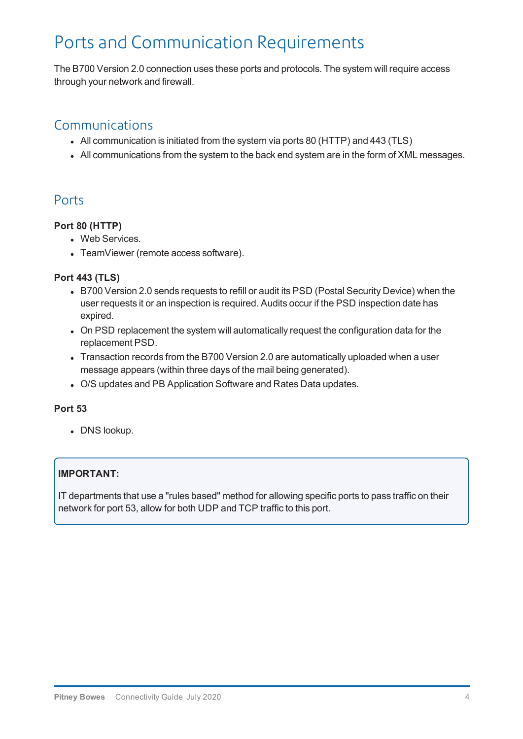## <span id="page-3-0"></span>Ports and Communication Requirements

The B700 Version 2.0 connection uses these ports and protocols. The system will require access through your network and firewall.

### Communications

- All communication is initiated from the system via ports 80 (HTTP) and 443 (TLS)
- All communications from the system to the back end system are in the form of XML messages.

### Ports

#### **Port 80 (HTTP)**

- Web Services.
- TeamViewer (remote access software).

#### **Port 443 (TLS)**

- B700 Version 2.0 sends requests to refill or audit its PSD (Postal Security Device) when the user requests it or an inspection is required. Audits occur if the PSD inspection date has expired.
- On PSD replacement the system will automatically request the configuration data for the replacement PSD.
- Transaction records from the B700 Version 2.0 are automatically uploaded when a user message appears (within three days of the mail being generated).
- O/S updates and PB Application Software and Rates Data updates.

#### **Port 53**

• DNS lookup.

#### **IMPORTANT:**

IT departments that use a "rules based" method for allowing specific ports to pass traffic on their network for port 53, allow for both UDP and TCP traffic to this port.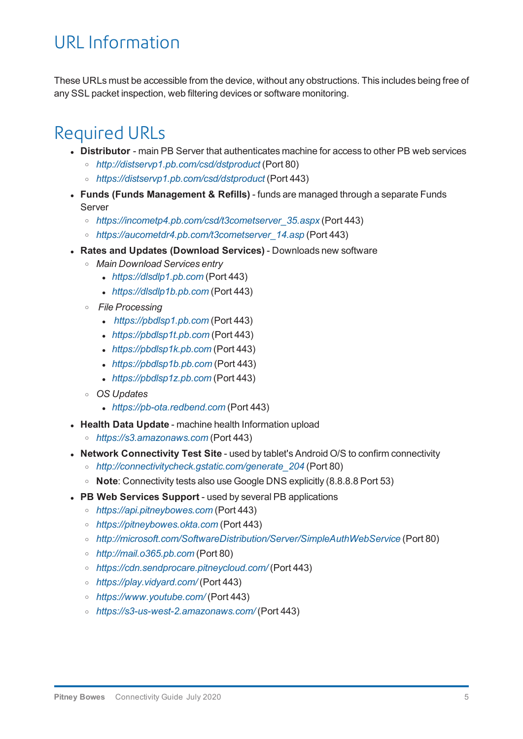### <span id="page-4-0"></span>URL Information

These URLs must be accessible from the device, without any obstructions. This includes being free of any SSL packet inspection, web filtering devices or software monitoring.

### <span id="page-4-1"></span>Required URLs

- **.** Distributor main PB Server that authenticates machine for access to other PB web services
	- <sup>o</sup> *[http://distservp1.pb.com/csd/dstproduct](http://distservp1.pb.com/dstproduct.asp)* (Port 80)
	- <sup>o</sup> *[https://distservp1.pb.com/csd/dstproduct](https://distservp1.pb.com/dstproduct.asp)* (Port 443)
- **Funds (Funds Management & Refills)** funds are managed through a separate Funds Server
	- <sup>o</sup> *[https://incometp4.pb.com/csd/t3cometserver\\_35.aspx](http://incometp4.pb.com/csd/t3cometserver_35.aspx)* (Port 443)
	- <sup>o</sup> *[https://aucometdr4.pb.com/t3cometserver\\_14.asp](http://aucometdr4.pb.com/t3cometserver_14.asp)* (Port 443)
- <sup>l</sup> **Rates and Updates (Download Services)** Downloads new software
	- <sup>o</sup> *Main Download Services entry*
		- <sup>l</sup> *[https://dlsdlp1.pb.com](https://dlsdlp1.pb.com/)* (Port 443)
		- <sup>l</sup> *[https://dlsdlp1b.pb.com](https://dlsdlp1b.pb.com/)* (Port 443)
	- <sup>o</sup> *File Processing*
		- <sup>l</sup> *[https://pbdlsp1.pb.com](https://pbdlsp1.pb.com/prdconfirm.dll)* (Port 443)
		- <sup>l</sup> *[https://pbdlsp1t.pb.com](https://pbdlsp1t.pb.com/)* (Port 443)
		- <sup>l</sup> *[https://pbdlsp1k.pb.com](https://pbdlsp1k.pb.com/)* (Port 443)
		- <sup>l</sup> *[https://pbdlsp1b.pb.com](https://pbdlsp1b.pb.com/)* (Port 443)
		- <sup>l</sup> *[https://pbdlsp1z.pb.com](https://pbdlsp1b.pb.com/)* (Port 443)
	- <sup>o</sup> *OS Updates*
		- <sup>l</sup> *[https://pb-ota.redbend.com](http://62.249.6.70/OtaUpdater)* (Port 443)
- **Health Data Update** machine health Information upload
	- <sup>o</sup> *[https://s3.amazonaws.com](https://s3.amazonaws.com/)* (Port 443)
- **.** Network Connectivity Test Site used by tablet's Android O/S to confirm connectivity
	- <sup>o</sup> *[http://connectivitycheck.gstatic.com/generate\\_204](http://connectivitycheck.gstatic.com/generate_204)* (Port 80)
	- <sup>o</sup> **Note**: Connectivity tests also use Google DNS explicitly (8.8.8.8 Port 53)
- **PB Web Services Support** used by several PB applications
	- <sup>o</sup> *[https://api.pitneybowes.com](https://api.pitneybowes.com/)* (Port 443)
	- <sup>o</sup> *[https://pitneybowes.okta.com](https://pitneybowes.okta.com/)* (Port 443)
	- <sup>o</sup> *<http://microsoft.com/SoftwareDistribution/Server/SimpleAuthWebService>* (Port 80)
	- <sup>o</sup> *[http://mail.o365.pb.com](http://mail.o365.pb.com/)* (Port 80)
	- <sup>o</sup> *<https://cdn.sendprocare.pitneycloud.com/>* (Port 443)
	- <sup>o</sup> *<https://play.vidyard.com/>* (Port 443)
	- <sup>o</sup> *<https://www.youtube.com/>* (Port 443)
	- <sup>o</sup> *<https://s3-us-west-2.amazonaws.com/>* (Port 443)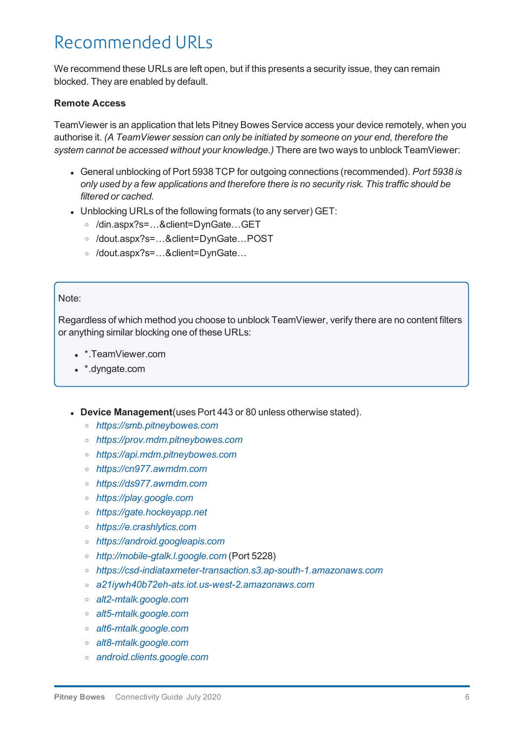### <span id="page-5-0"></span>Recommended URLs

We recommend these URLs are left open, but if this presents a security issue, they can remain blocked. They are enabled by default.

#### **Remote Access**

TeamViewer is an application that lets Pitney Bowes Service access your device remotely, when you authorise it. *(A TeamViewer session can only be initiated by someone on your end, therefore the system cannot be accessed without your knowledge.)* There are two ways to unblock TeamViewer:

- <sup>l</sup> General unblocking of Port 5938 TCP for outgoing connections (recommended). *Port 5938 is only used by a few applications and therefore there is no security risk. This traffic should be filtered or cached.*
- Unblocking URLs of the following formats (to any server) GET:
	- <sup>o</sup> /din.aspx?s=…&client=DynGate…GET
	- <sup>o</sup> /dout.aspx?s=…&client=DynGate…POST
	- <sup>o</sup> /dout.aspx?s=…&client=DynGate…

#### Note:

Regardless of which method you choose to unblock TeamViewer, verify there are no content filters or anything similar blocking one of these URLs:

- \*.TeamViewer.com
- \*.dyngate.com
- **.** Device Management(uses Port 443 or 80 unless otherwise stated).
	- <sup>o</sup> *[https://smb.pitneybowes.com](https://smb.pitneybowes.com/)*
	- <sup>o</sup> *[https://prov.mdm.pitneybowes.com](https://prov.mdm.pitneybowes.com/)*
	- <sup>o</sup> *[https://api.mdm.pitneybowes.com](https://api.mdm.pitneybowes.com/)*
	- <sup>o</sup> *[https://cn977.awmdm.com](https://cn997.awmdm.com/)*
	- <sup>o</sup> *[https://ds977.awmdm.com](https://ds997.awmdm.com/)*
	- <sup>o</sup> *[https://play.google.com](https://play.google.com/)*
	- <sup>o</sup> *[https://gate.hockeyapp.net](http://gate.hockeyapp.net/)*
	- <sup>o</sup> *[https://e.crashlytics.com](http://e.crashlytics.com/)*
	- <sup>o</sup> *[https://android.googleapis.com](https://android.googleapis.com/)*
	- <sup>o</sup> *[http://mobile-gtalk.l.google.com](http://mobile-gtalk.l.google.com/)* (Port 5228)
	- <sup>o</sup> *[https://csd-indiataxmeter-transaction.s3.ap-south-1.amazonaws.com](https://csd-indiataxmeter-transaction.s3.ap-south-1.amazonaws.com/)*
	- <sup>o</sup> *[a21iywh40b72eh-ats.iot.us-west-2.amazonaws.com](http://a21iywh40b72eh-ats.iot.us-west-2.amazonaws.com/)*
	- <sup>o</sup> *[alt2-mtalk.google.com](http://alt2-mtalk.google.com/)*
	- <sup>o</sup> *[alt5-mtalk.google.com](http://alt5-mtalk.google.com/)*
	- <sup>o</sup> *[alt6-mtalk.google.com](http://alt6-mtalk.google.com/)*
	- <sup>o</sup> *[alt8-mtalk.google.com](http://alt8-mtalk.google.com/)*
	- <sup>o</sup> *[android.clients.google.com](http://android.clients.google.com/)*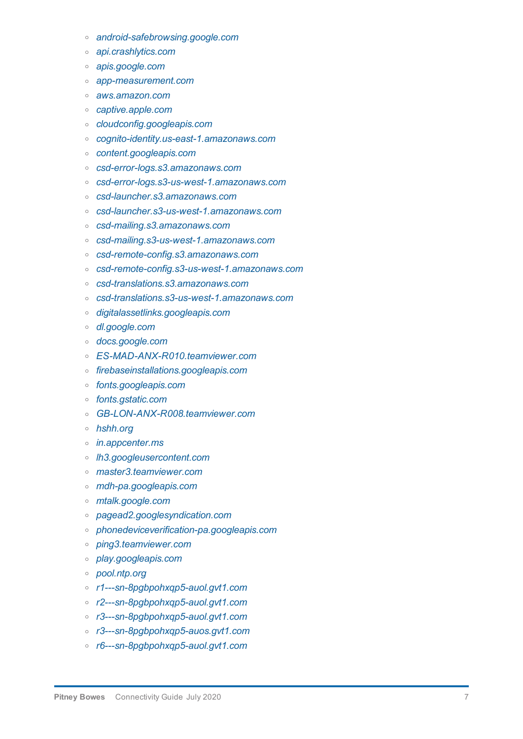- <sup>o</sup> *[android-safebrowsing.google.com](http://android-safebrowsing.google.com/)*
- <sup>o</sup> *[api.crashlytics.com](http://api.crashlytics.com/)*
- <sup>o</sup> *[apis.google.com](http://apis.google.com/)*
- <sup>o</sup> *[app-measurement.com](http://app-measurement.com/)*
- <sup>o</sup> *[aws.amazon.com](http://aws.amazon.com/)*
- <sup>o</sup> *[captive.apple.com](http://captive.apple.com/)*
- <sup>o</sup> *[cloudconfig.googleapis.com](http://cloudconfig.googleapis.com/)*
- <sup>o</sup> *[cognito-identity.us-east-1.amazonaws.com](http://cognito-identity.us-east-1.amazonaws.com/)*
- <sup>o</sup> *[content.googleapis.com](http://content.googleapis.com/)*
- <sup>o</sup> *[csd-error-logs.s3.amazonaws.com](http://csd-error-logs.s3.amazonaws.com/)*
- <sup>o</sup> *[csd-error-logs.s3-us-west-1.amazonaws.com](http://csd-error-logs.s3-us-west-1.amazonaws.com/)*
- <sup>o</sup> *[csd-launcher.s3.amazonaws.com](http://csd-launcher.s3.amazonaws.com/)*
- <sup>o</sup> *[csd-launcher.s3-us-west-1.amazonaws.com](http://csd-launcher.s3-us-west-1.amazonaws.com/)*
- <sup>o</sup> *[csd-mailing.s3.amazonaws.com](http://csd-mailing.s3.amazonaws.com/)*
- <sup>o</sup> *[csd-mailing.s3-us-west-1.amazonaws.com](http://csd-mailing.s3-us-west-1.amazonaws.com/)*
- <sup>o</sup> *[csd-remote-config.s3.amazonaws.com](http://csd-remote-config.s3.amazonaws.com/)*
- <sup>o</sup> *[csd-remote-config.s3-us-west-1.amazonaws.com](http://csd-remote-config.s3-us-west-1.amazonaws.com/)*
- <sup>o</sup> *[csd-translations.s3.amazonaws.com](http://csd-translations.s3.amazonaws.com/)*
- <sup>o</sup> *[csd-translations.s3-us-west-1.amazonaws.com](http://csd-translations.s3-us-west-1.amazonaws.com/)*
- <sup>o</sup> *[digitalassetlinks.googleapis.com](http://digitalassetlinks.googleapis.com/)*
- <sup>o</sup> *[dl.google.com](http://dl.google.com/)*
- <sup>o</sup> *[docs.google.com](http://docs.google.com/)*
- <sup>o</sup> *[ES-MAD-ANX-R010.teamviewer.com](http://es-mad-anx-r010.teamviewer.com/)*
- <sup>o</sup> *[firebaseinstallations.googleapis.com](http://firebaseinstallations.googleapis.com/)*
- <sup>o</sup> *[fonts.googleapis.com](http://fonts.googleapis.com/)*
- <sup>o</sup> *[fonts.gstatic.com](http://fonts.gstatic.com/)*
- <sup>o</sup> *[GB-LON-ANX-R008.teamviewer.com](http://gb-lon-anx-r008.teamviewer.com/)*
- <sup>o</sup> *[hshh.org](http://hshh.org/)*
- <sup>o</sup> *[in.appcenter.ms](http://in.appcenter.ms/)*
- <sup>o</sup> *[lh3.googleusercontent.com](http://lh3.googleusercontent.com/)*
- <sup>o</sup> *[master3.teamviewer.com](http://master3.teamviewer.com/)*
- <sup>o</sup> *[mdh-pa.googleapis.com](http://mdh-pa.googleapis.com/)*
- <sup>o</sup> *[mtalk.google.com](http://mtalk.google.com/)*
- <sup>o</sup> *[pagead2.googlesyndication.com](http://pagead2.googlesyndication.com/)*
- <sup>o</sup> *[phonedeviceverification-pa.googleapis.com](http://phonedeviceverification-pa.googleapis.com/)*
- <sup>o</sup> *[ping3.teamviewer.com](http://ping3.teamviewer.com/)*
- <sup>o</sup> *[play.googleapis.com](http://play.googleapis.com/)*
- <sup>o</sup> *[pool.ntp.org](http://pool.ntp.org/)*
- <sup>o</sup> *[r1---sn-8pgbpohxqp5-auol.gvt1.com](http://r1---sn-8pgbpohxqp5-auol.gvt1.com/)*
- <sup>o</sup> *[r2---sn-8pgbpohxqp5-auol.gvt1.com](http://r2---sn-8pgbpohxqp5-auol.gvt1.com/)*
- <sup>o</sup> *[r3---sn-8pgbpohxqp5-auol.gvt1.com](http://r3---sn-8pgbpohxqp5-auol.gvt1.com/)*
- <sup>o</sup> *[r3---sn-8pgbpohxqp5-auos.gvt1.com](http://r3---sn-8pgbpohxqp5-auos.gvt1.com/)*
- <sup>o</sup> *[r6---sn-8pgbpohxqp5-auol.gvt1.com](http://r6---sn-8pgbpohxqp5-auol.gvt1.com/)*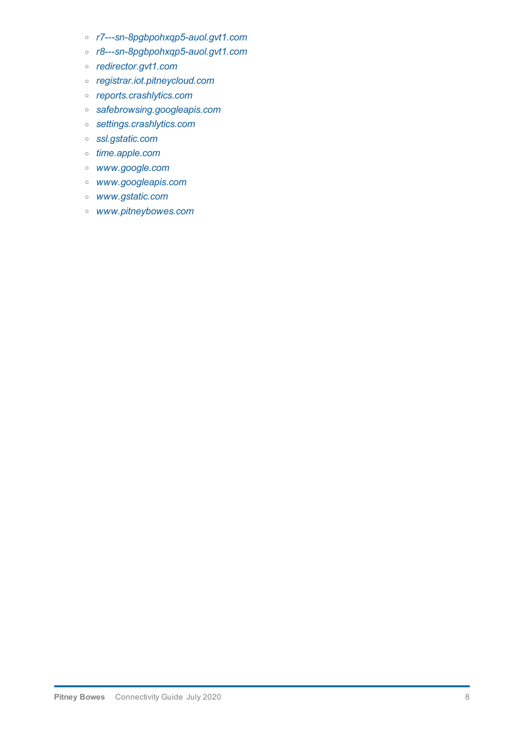- <sup>o</sup> *[r7---sn-8pgbpohxqp5-auol.gvt1.com](http://r7---sn-8pgbpohxqp5-auol.gvt1.com/)*
- <sup>o</sup> *[r8---sn-8pgbpohxqp5-auol.gvt1.com](http://r8---sn-8pgbpohxqp5-auol.gvt1.com/)*
- <sup>o</sup> *[redirector.gvt1.com](http://redirector.gvt1.com/)*
- <sup>o</sup> *[registrar.iot.pitneycloud.com](http://registrar.iot.pitneycloud.com/)*
- <sup>o</sup> *[reports.crashlytics.com](http://reports.crashlytics.com/)*
- <sup>o</sup> *[safebrowsing.googleapis.com](http://safebrowsing.googleapis.com/)*
- <sup>o</sup> *[settings.crashlytics.com](http://settings.crashlytics.com/)*
- <sup>o</sup> *[ssl.gstatic.com](http://ssl.gstatic.com/)*
- <sup>o</sup> *[time.apple.com](http://time.apple.com/)*
- <sup>o</sup> *[www.google.com](http://www.google.com/)*
- <sup>o</sup> *[www.googleapis.com](http://www.googleapis.com/)*
- <sup>o</sup> *[www.gstatic.com](http://www.gstatic.com/)*
- <sup>o</sup> *[www.pitneybowes.com](http://www.pitneybowes.com/)*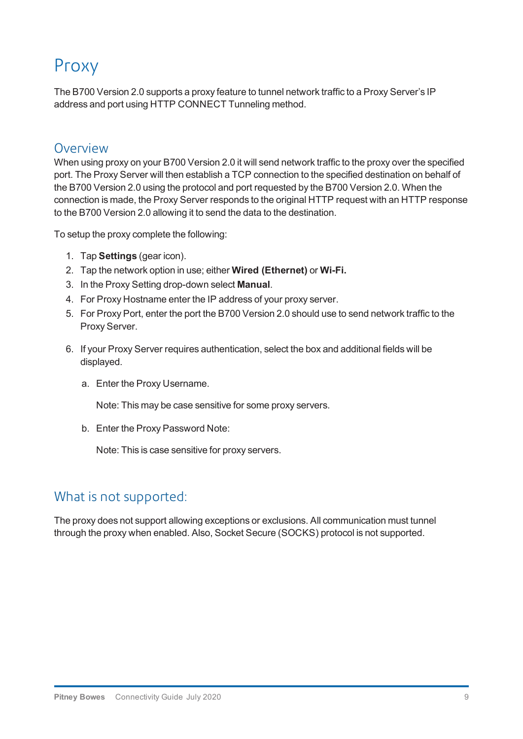## Proxy

The B700 Version 2.0 supports a proxy feature to tunnel network traffic to a Proxy Server's IP address and port using HTTP CONNECT Tunneling method.

### Overview

When using proxy on your B700 Version 2.0 it will send network traffic to the proxy over the specified port. The Proxy Server will then establish a TCP connection to the specified destination on behalf of the B700 Version 2.0 using the protocol and port requested by the B700 Version 2.0. When the connection is made, the Proxy Server responds to the original HTTP request with an HTTP response to the B700 Version 2.0 allowing it to send the data to the destination.

To setup the proxy complete the following:

- 1. Tap **Settings** (gear icon).
- 2. Tap the network option in use; either **Wired (Ethernet)** or **Wi-Fi.**
- 3. In the Proxy Setting drop-down select **Manual**.
- 4. For Proxy Hostname enter the IP address of your proxy server.
- 5. For Proxy Port, enter the port the B700 Version 2.0 should use to send network traffic to the Proxy Server.
- 6. If your Proxy Server requires authentication, select the box and additional fields will be displayed.
	- a. Enter the Proxy Username.

Note: This may be case sensitive for some proxy servers.

b. Enter the Proxy Password Note:

Note: This is case sensitive for proxy servers.

### What is not supported:

The proxy does not support allowing exceptions or exclusions. All communication must tunnel through the proxy when enabled. Also, Socket Secure (SOCKS) protocol is not supported.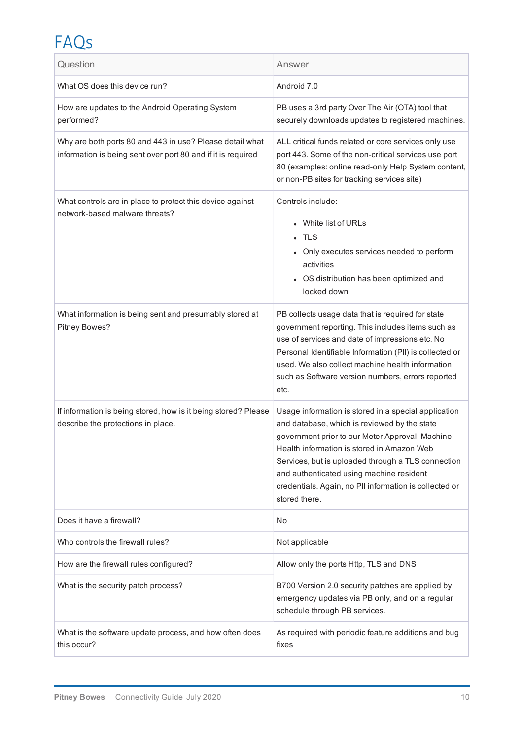## FAQs

| Question                                                                                                                 | Answer                                                                                                                                                                                                                                                                                                                                                                             |
|--------------------------------------------------------------------------------------------------------------------------|------------------------------------------------------------------------------------------------------------------------------------------------------------------------------------------------------------------------------------------------------------------------------------------------------------------------------------------------------------------------------------|
| What OS does this device run?                                                                                            | Android 7.0                                                                                                                                                                                                                                                                                                                                                                        |
| How are updates to the Android Operating System<br>performed?                                                            | PB uses a 3rd party Over The Air (OTA) tool that<br>securely downloads updates to registered machines.                                                                                                                                                                                                                                                                             |
| Why are both ports 80 and 443 in use? Please detail what<br>information is being sent over port 80 and if it is required | ALL critical funds related or core services only use<br>port 443. Some of the non-critical services use port<br>80 (examples: online read-only Help System content,<br>or non-PB sites for tracking services site)                                                                                                                                                                 |
| What controls are in place to protect this device against<br>network-based malware threats?                              | Controls include:<br>• White list of URLs<br><b>TLS</b><br>• Only executes services needed to perform<br>activities<br>• OS distribution has been optimized and<br>locked down                                                                                                                                                                                                     |
| What information is being sent and presumably stored at<br>Pitney Bowes?                                                 | PB collects usage data that is required for state<br>government reporting. This includes items such as<br>use of services and date of impressions etc. No<br>Personal Identifiable Information (PII) is collected or<br>used. We also collect machine health information<br>such as Software version numbers, errors reported<br>etc.                                              |
| If information is being stored, how is it being stored? Please<br>describe the protections in place.                     | Usage information is stored in a special application<br>and database, which is reviewed by the state<br>government prior to our Meter Approval. Machine<br>Health information is stored in Amazon Web<br>Services, but is uploaded through a TLS connection<br>and authenticated using machine resident<br>credentials. Again, no PII information is collected or<br>stored there. |
| Does it have a firewall?                                                                                                 | No                                                                                                                                                                                                                                                                                                                                                                                 |
| Who controls the firewall rules?                                                                                         | Not applicable                                                                                                                                                                                                                                                                                                                                                                     |
| How are the firewall rules configured?                                                                                   | Allow only the ports Http, TLS and DNS                                                                                                                                                                                                                                                                                                                                             |
| What is the security patch process?                                                                                      | B700 Version 2.0 security patches are applied by<br>emergency updates via PB only, and on a regular<br>schedule through PB services.                                                                                                                                                                                                                                               |
| What is the software update process, and how often does<br>this occur?                                                   | As required with periodic feature additions and bug<br>fixes                                                                                                                                                                                                                                                                                                                       |